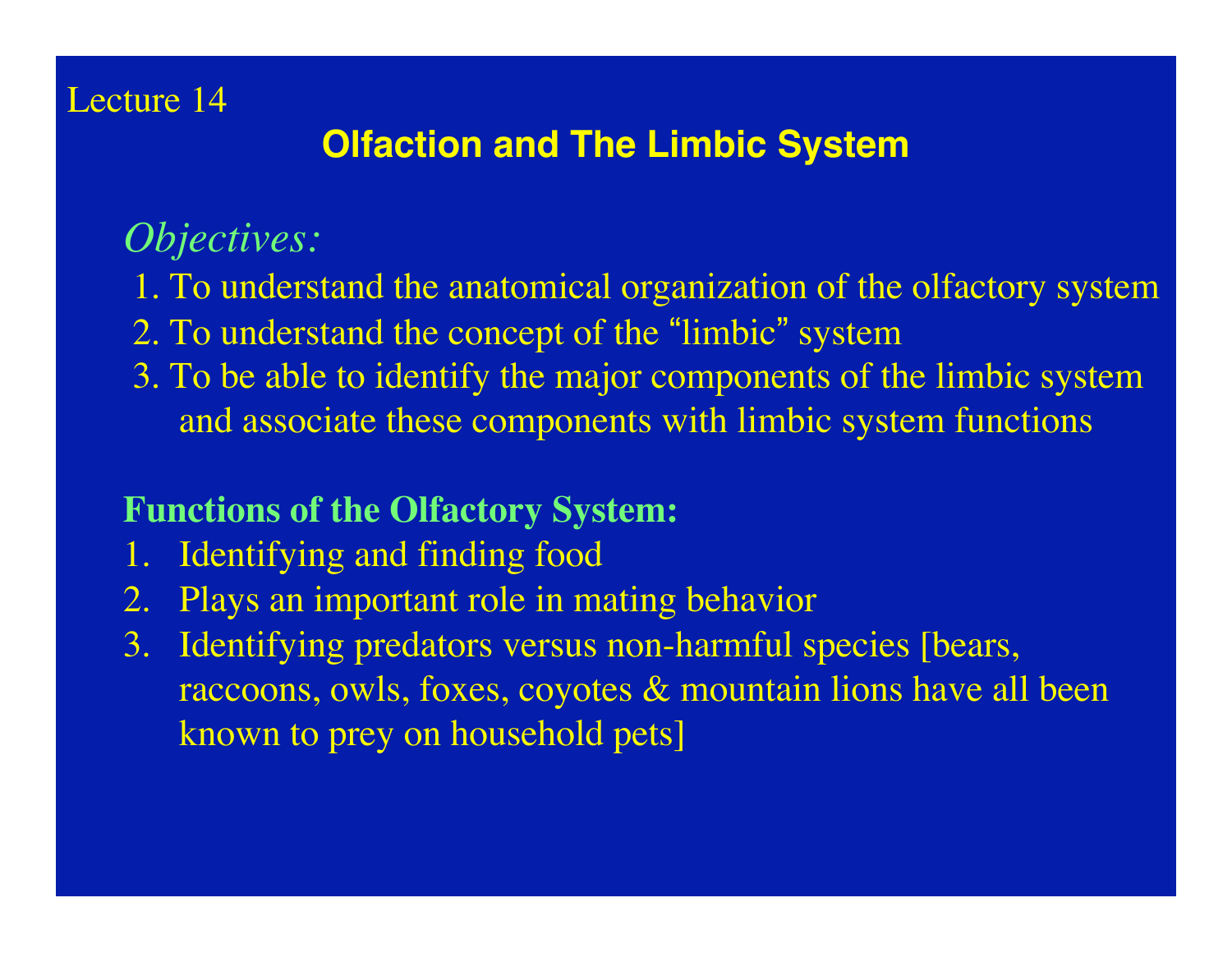### Lecture 14

## **Olfaction and The Limbic System**

## *Objectives:*

- 1. To understand the anatomical organization of the olfactory system
- 2. To understand the concept of the "limbic" system
- 3. To be able to identify the major components of the limbic system and associate these components with limbic system functions

#### **Functions of the Olfactory System:**

- 1. Identifying and finding food
- 2. Plays an important role in mating behavior
- 3. Identifying predators versus non-harmful species [bears, raccoons, owls, foxes, coyotes & mountain lions have all been known to prey on household pets]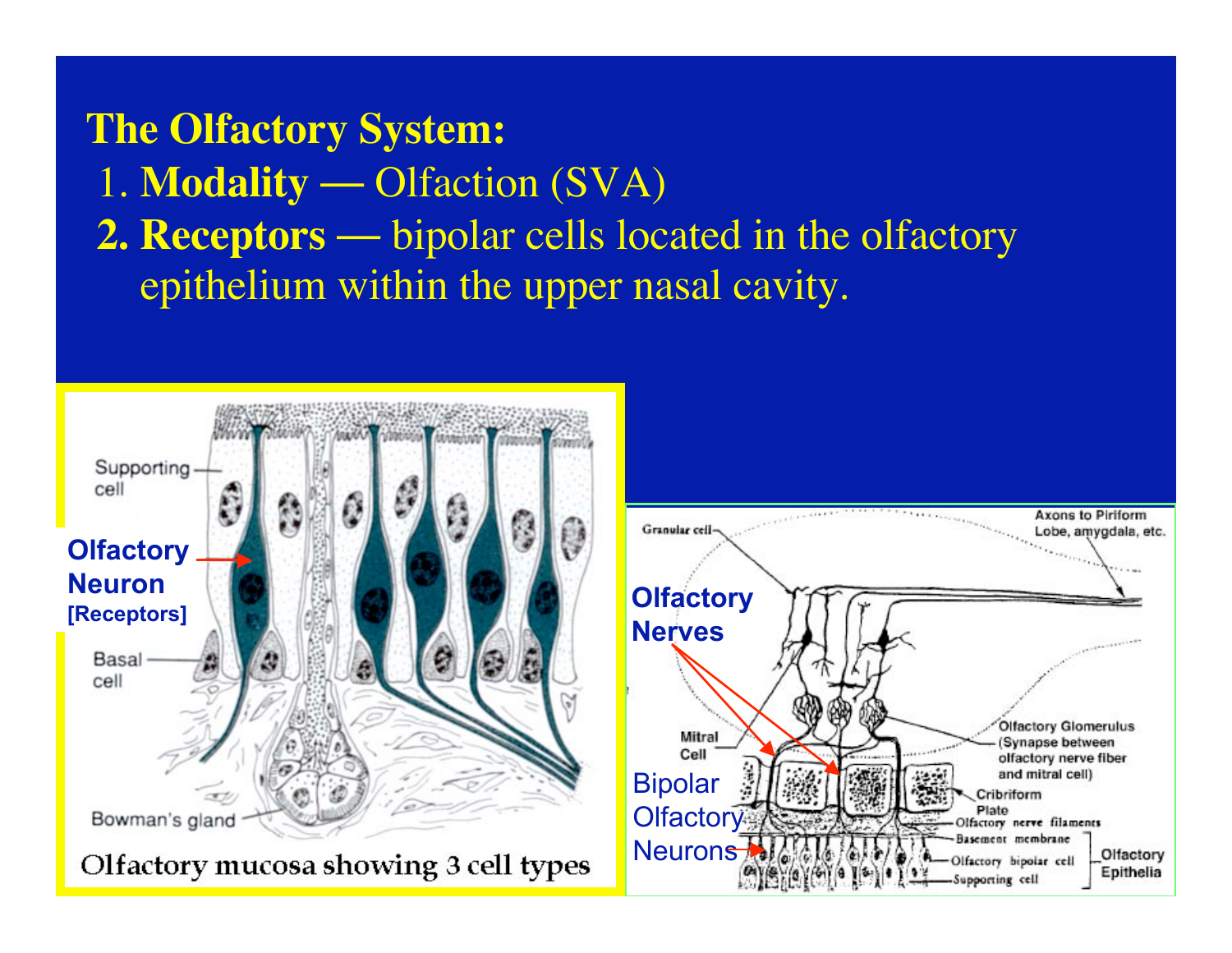**The Olfactory System:** 1. **Modality** — Olfaction (SVA) **2. Receptors** — bipolar cells located in the olfactory epithelium within the upper nasal cavity.



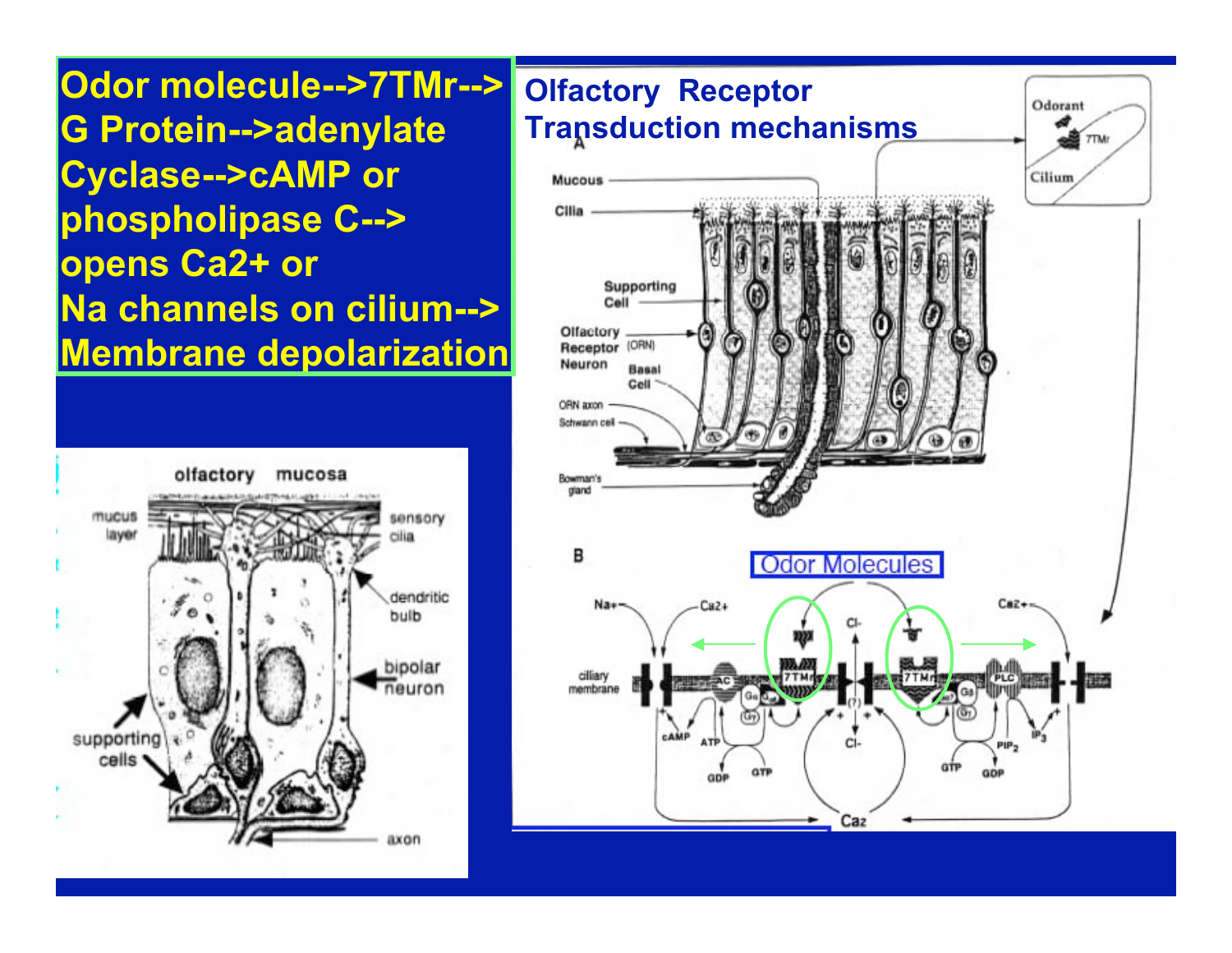**Odor molecule-->7TMr--> G Protein-->adenylate Cyclase-->cAMP or phospholipase C--> opens Ca2+ or Na channels on cilium--> Membrane depolarization**



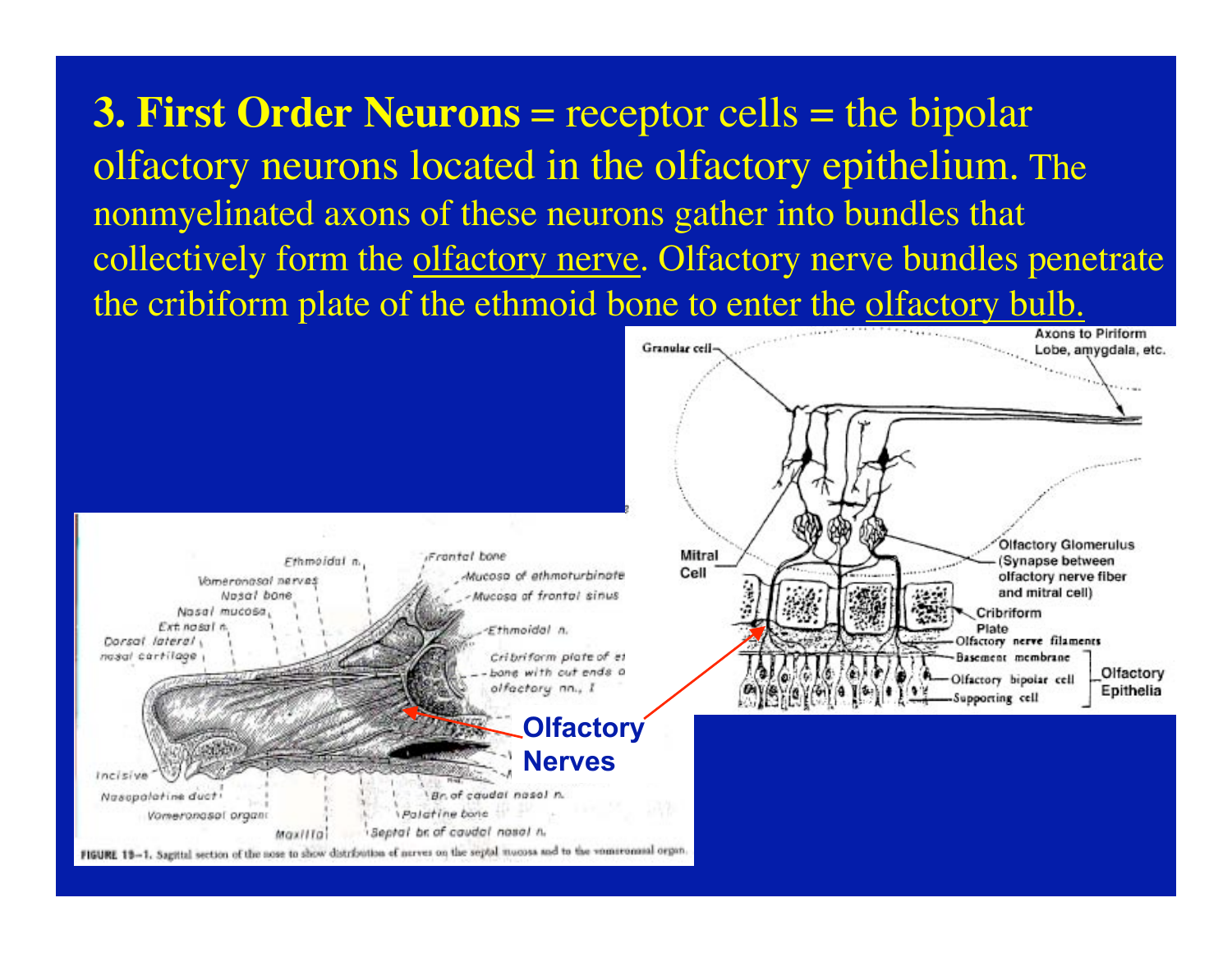**3. First Order Neurons** = receptor cells = the bipolar olfactory neurons located in the olfactory epithelium. The nonmyelinated axons of these neurons gather into bundles that collectively form the olfactory nerve. Olfactory nerve bundles penetrate the cribiform plate of the ethmoid bone to enter the olfactory bulb.

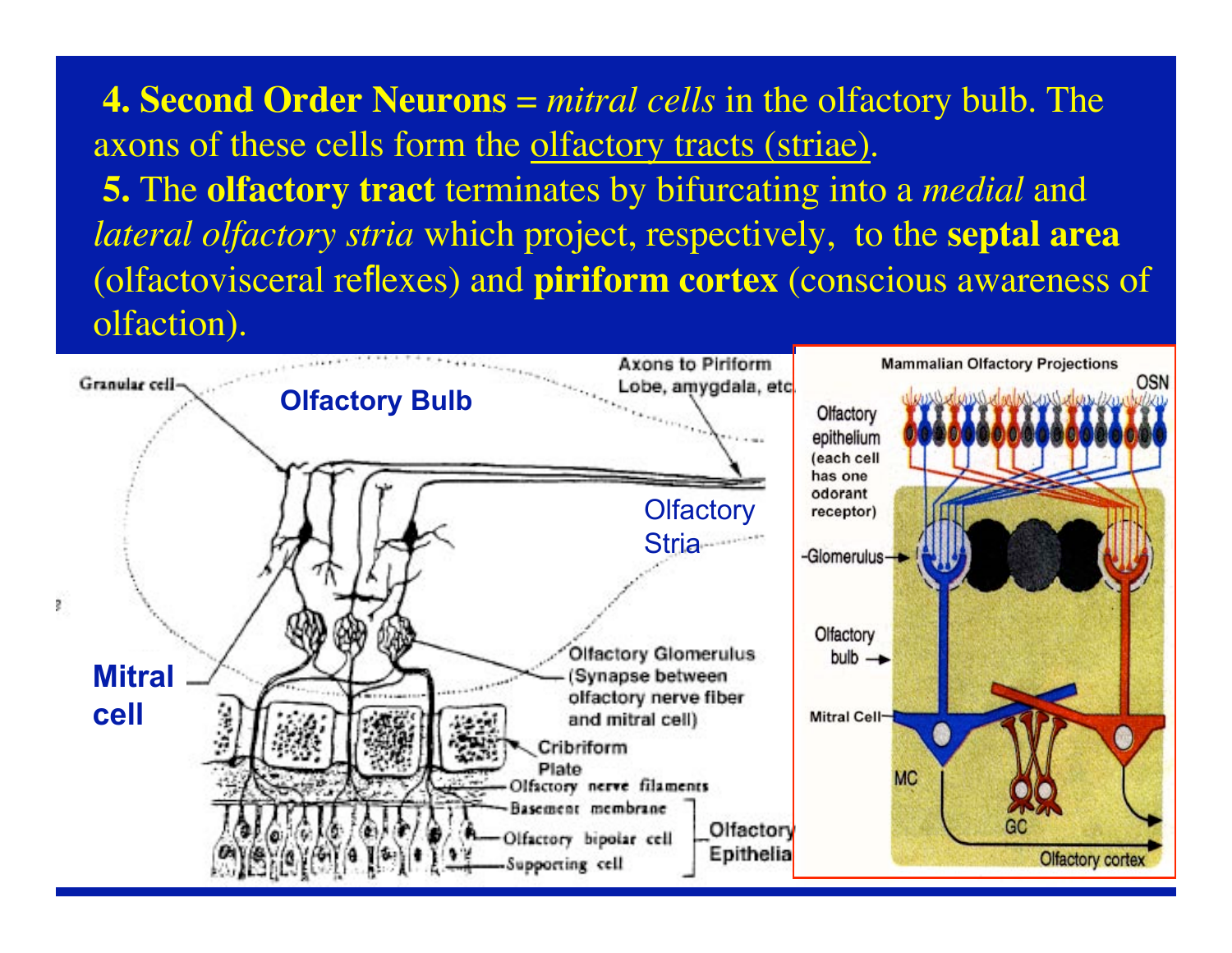**4. Second Order Neurons** = *mitral cells* in the olfactory bulb. The axons of these cells form the olfactory tracts (striae). **5.** The **olfactory tract** terminates by bifurcating into a *medial* and *lateral olfactory stria* which project, respectively, to the **septal area** (olfactovisceral reflexes) and **piriform cortex** (conscious awareness of olfaction).

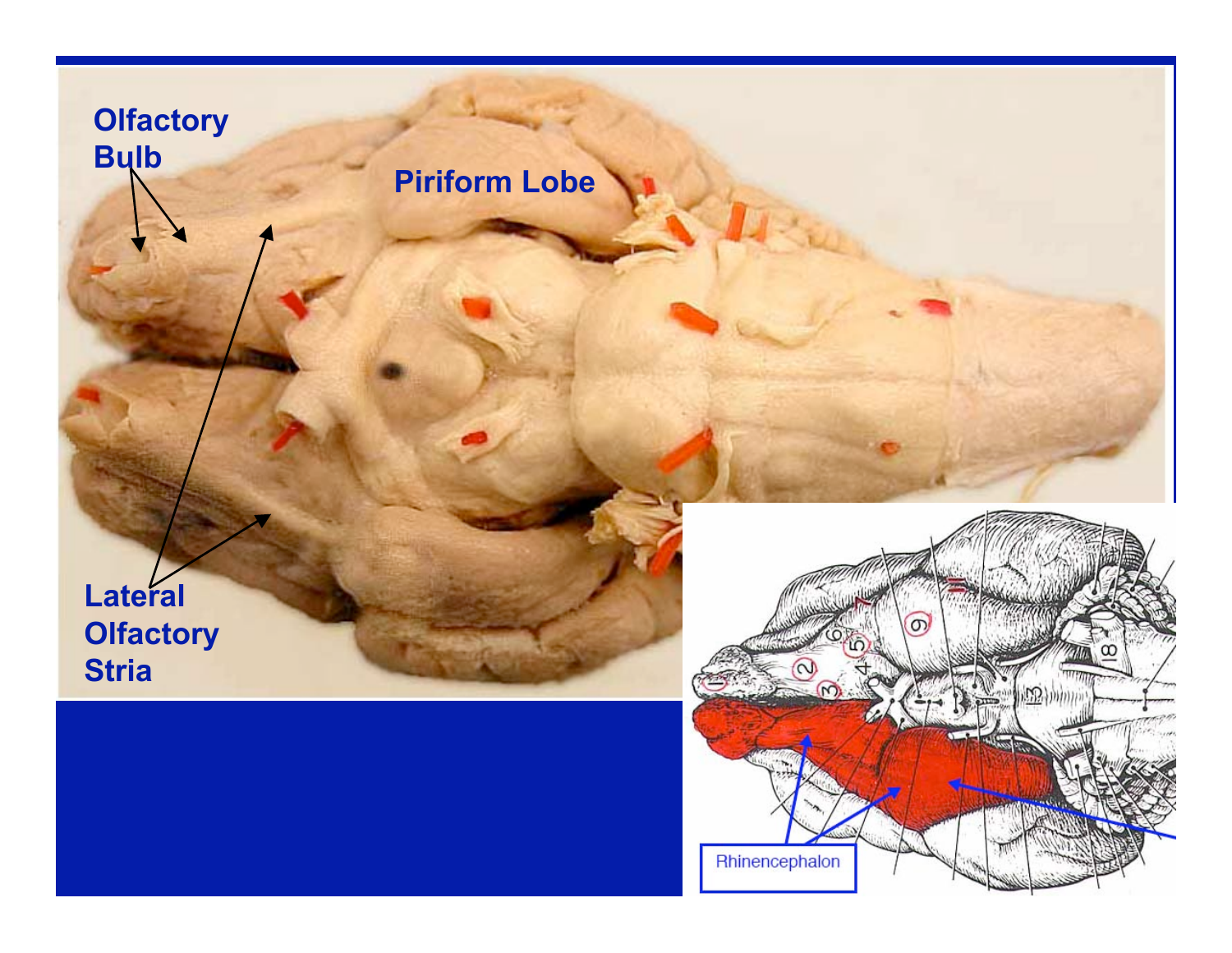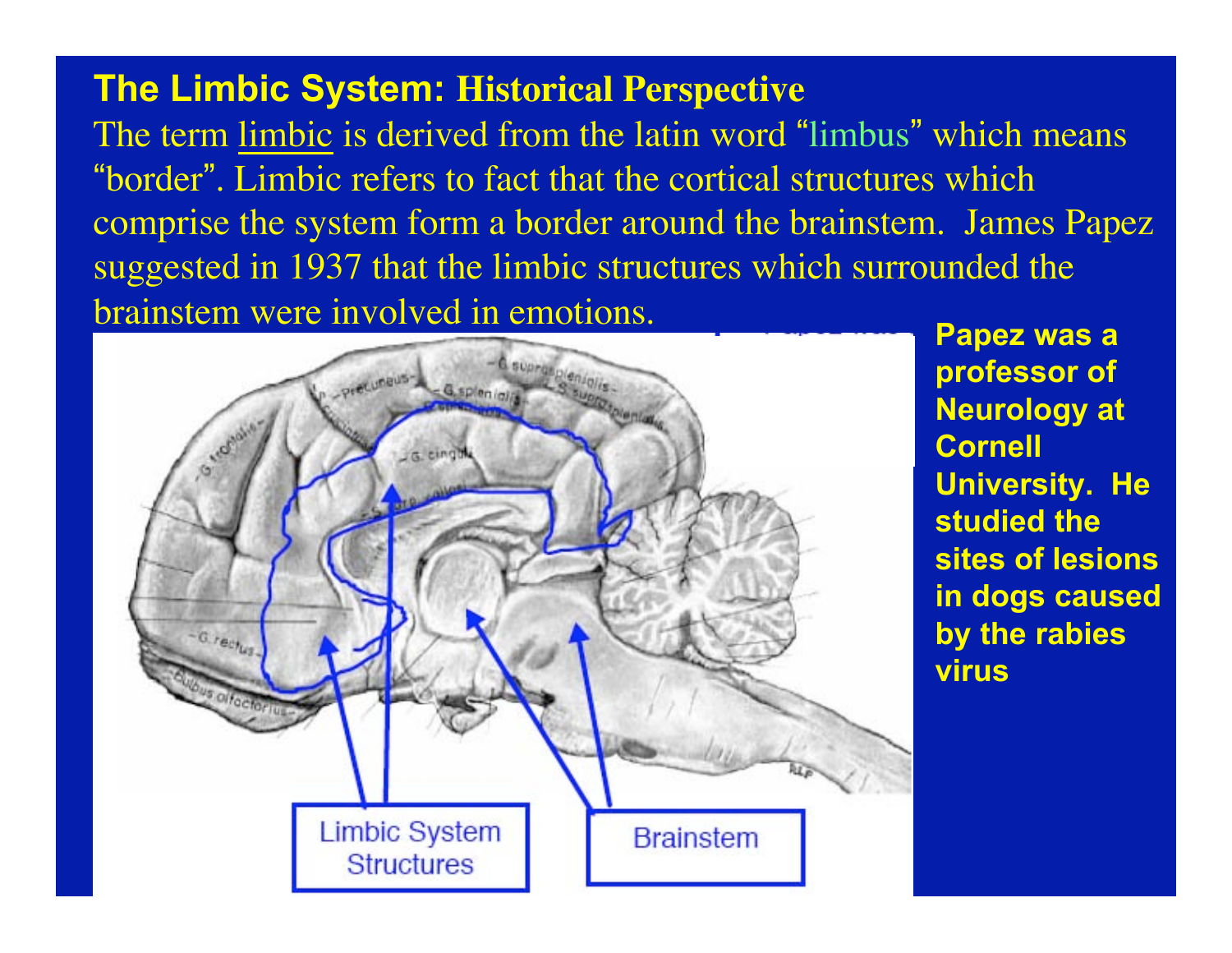#### **The Limbic System: Historical Perspective**

The term limbic is derived from the latin word "limbus" which means "border". Limbic refers to fact that the cortical structures which comprise the system form a border around the brainstem. James Papez suggested in 1937 that the limbic structures which surrounded the brainstem were involved in emotions.



**professor of Neurology at Cornell University. He studied the sites of lesions in dogs caused by the rabies virus**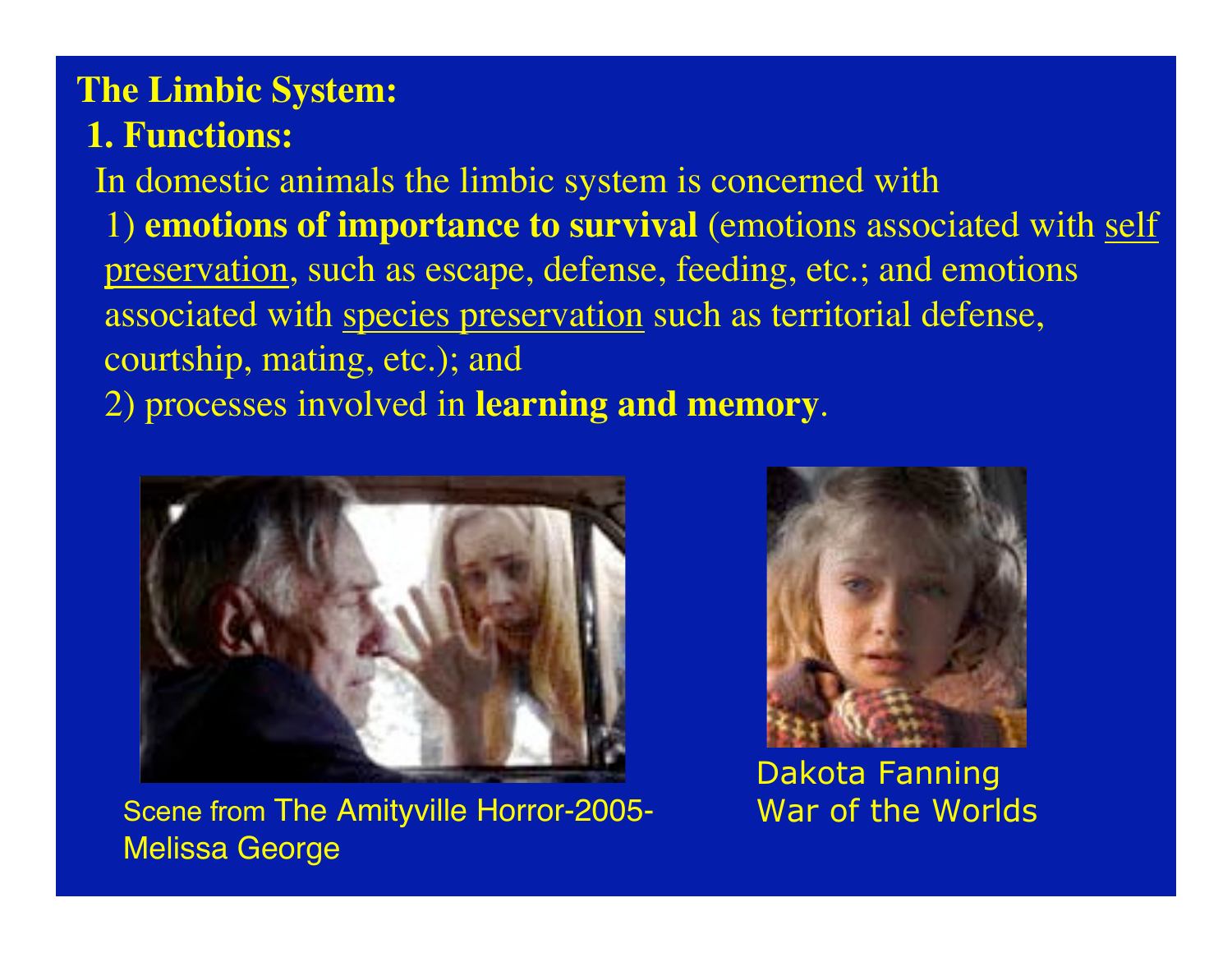# **The Limbic System:**

### **1. Functions:**

 In domestic animals the limbic system is concerned with 1) **emotions of importance to survival** (emotions associated with self preservation, such as escape, defense, feeding, etc.; and emotions associated with species preservation such as territorial defense, courtship, mating, etc.); and 2) processes involved in **learning and memory**.



Scene from The Amityville Horror-2005- Melissa George



Dakota Fanning War of the Worlds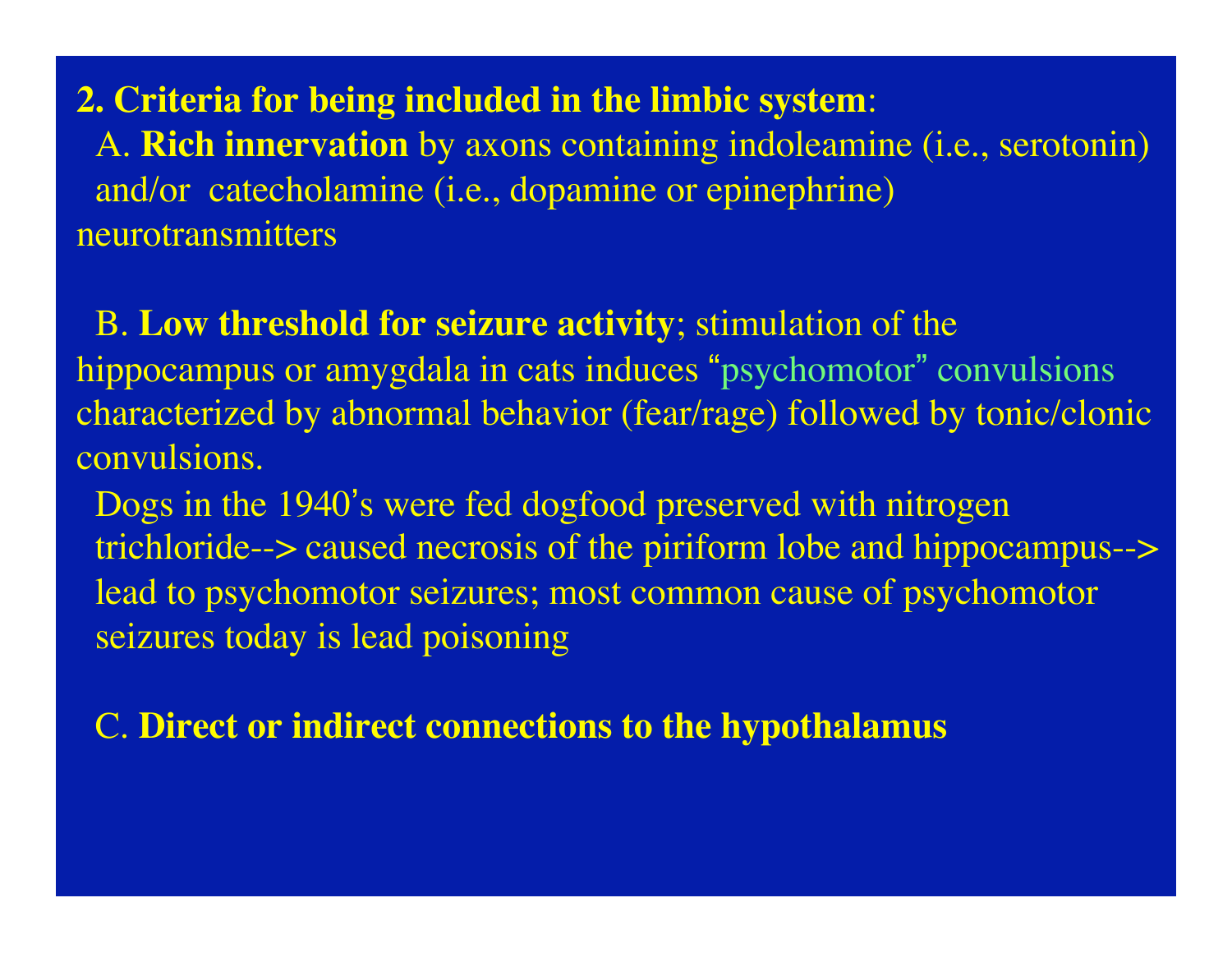**2. Criteria for being included in the limbic system**: A. **Rich innervation** by axons containing indoleamine (i.e., serotonin) and/or catecholamine (i.e., dopamine or epinephrine) neurotransmitters

 B. **Low threshold for seizure activity**; stimulation of the hippocampus or amygdala in cats induces "psychomotor" convulsions characterized by abnormal behavior (fear/rage) followed by tonic/clonic convulsions.

 Dogs in the 1940's were fed dogfood preserved with nitrogen trichloride--> caused necrosis of the piriform lobe and hippocampus--> lead to psychomotor seizures; most common cause of psychomotor seizures today is lead poisoning

C. **Direct or indirect connections to the hypothalamus**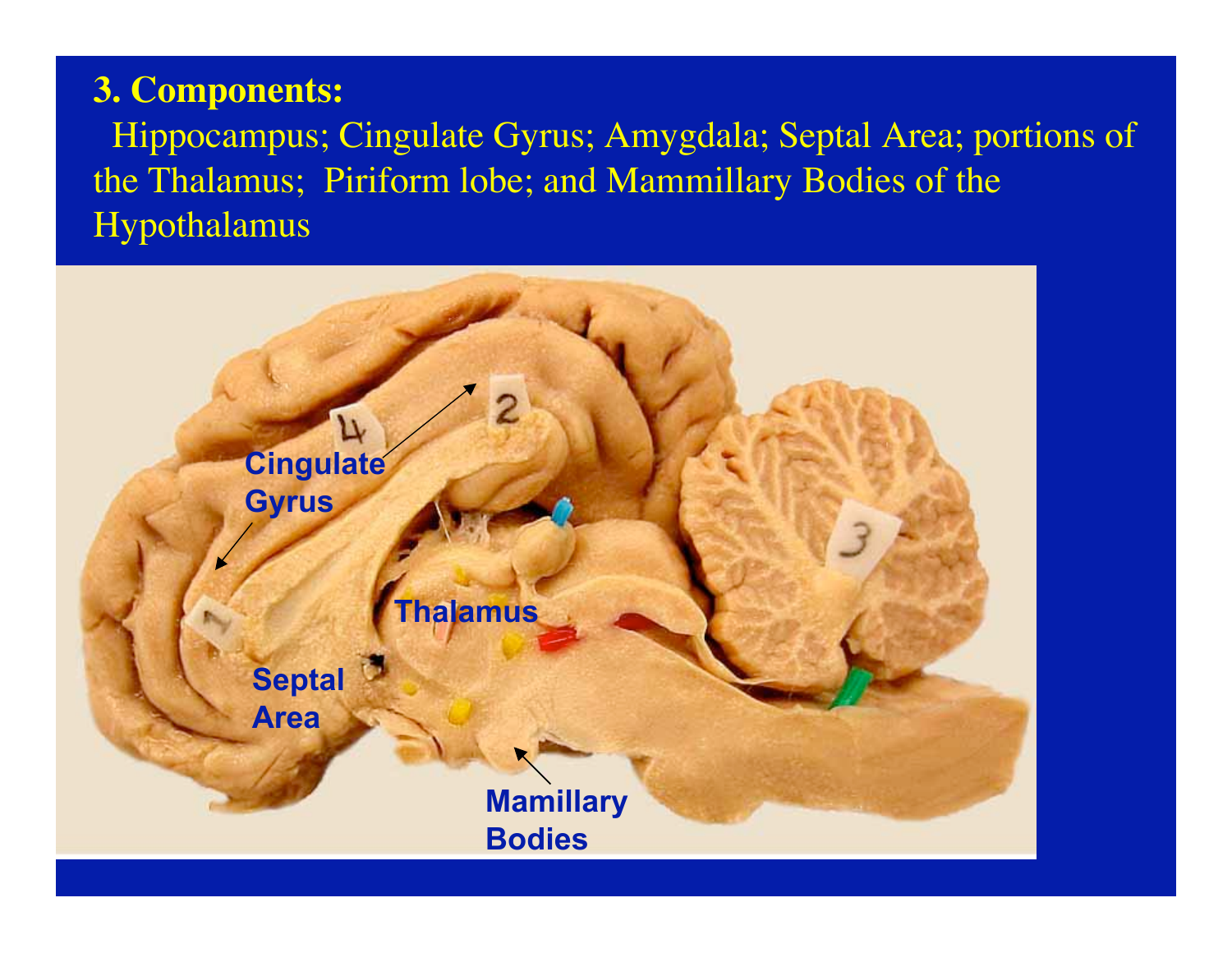### **3. Components:**

 Hippocampus; Cingulate Gyrus; Amygdala; Septal Area; portions of the Thalamus; Piriform lobe; and Mammillary Bodies of the Hypothalamus

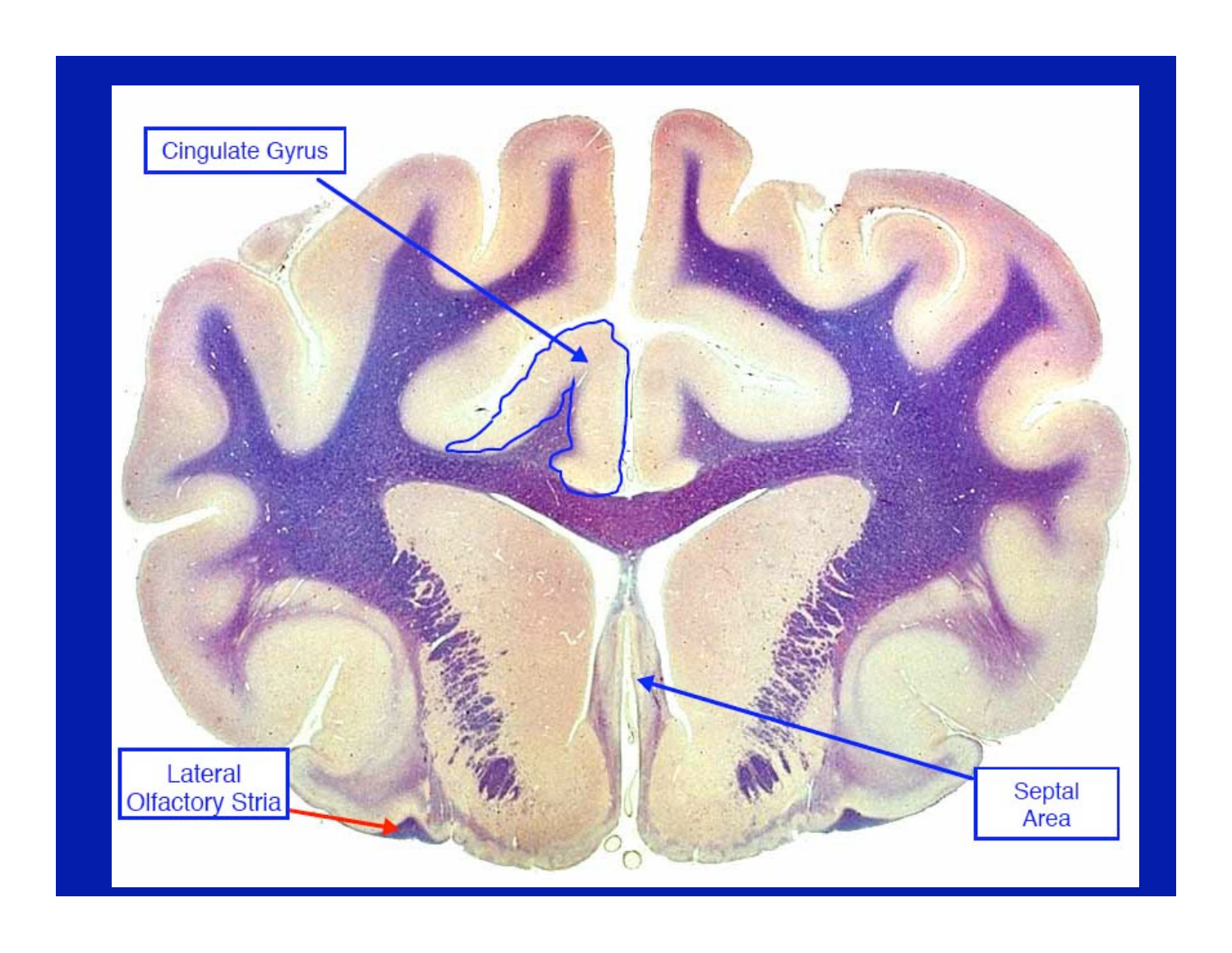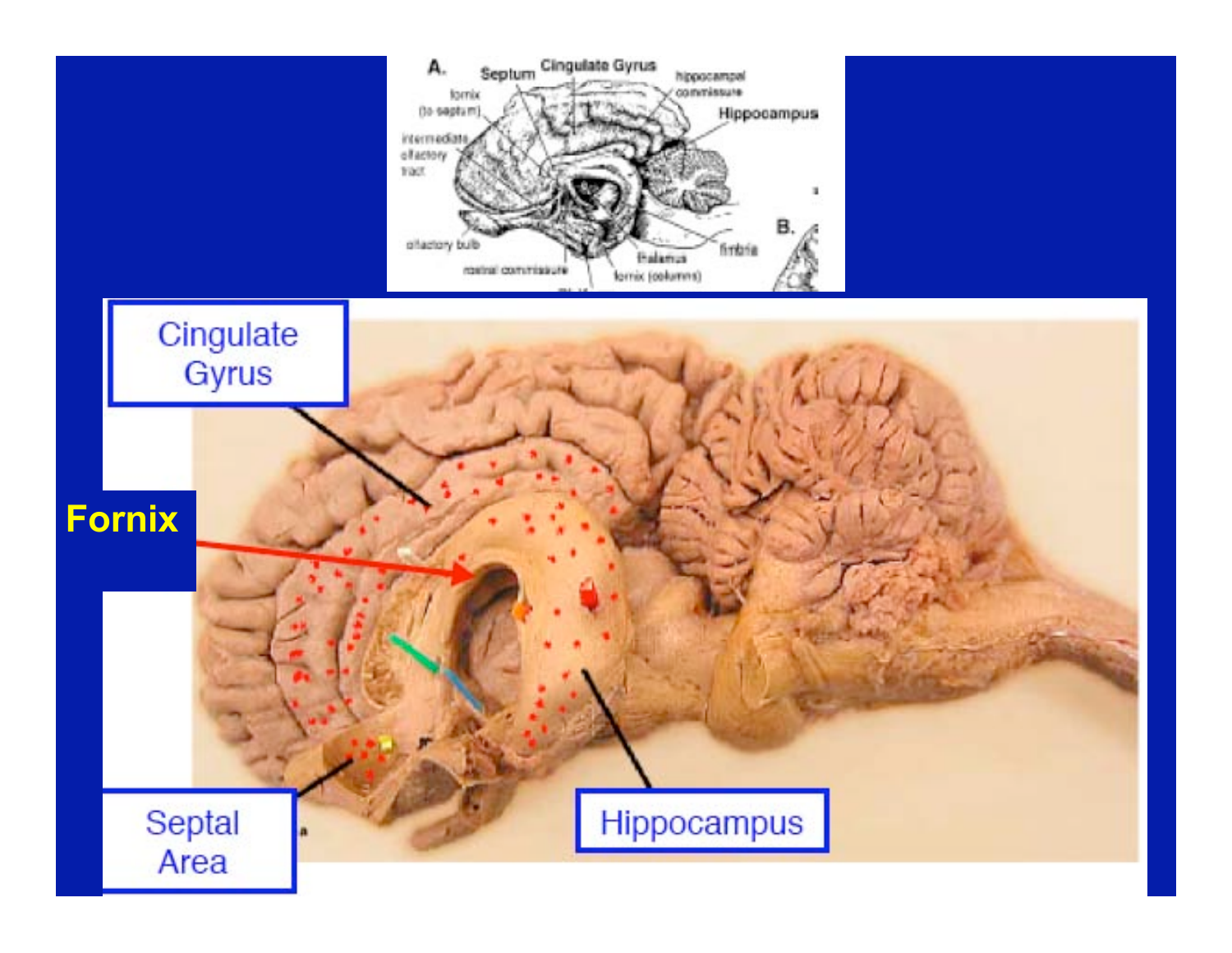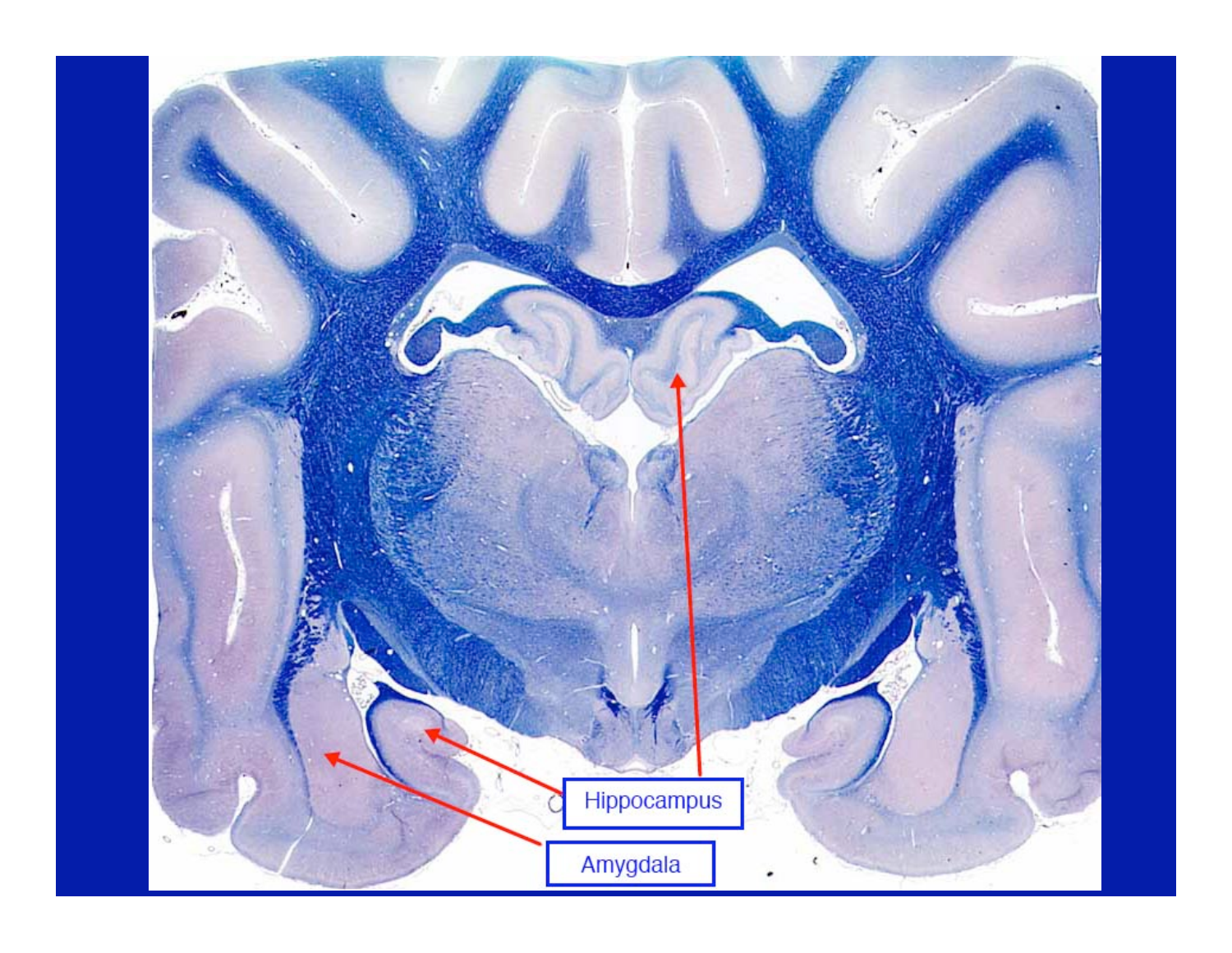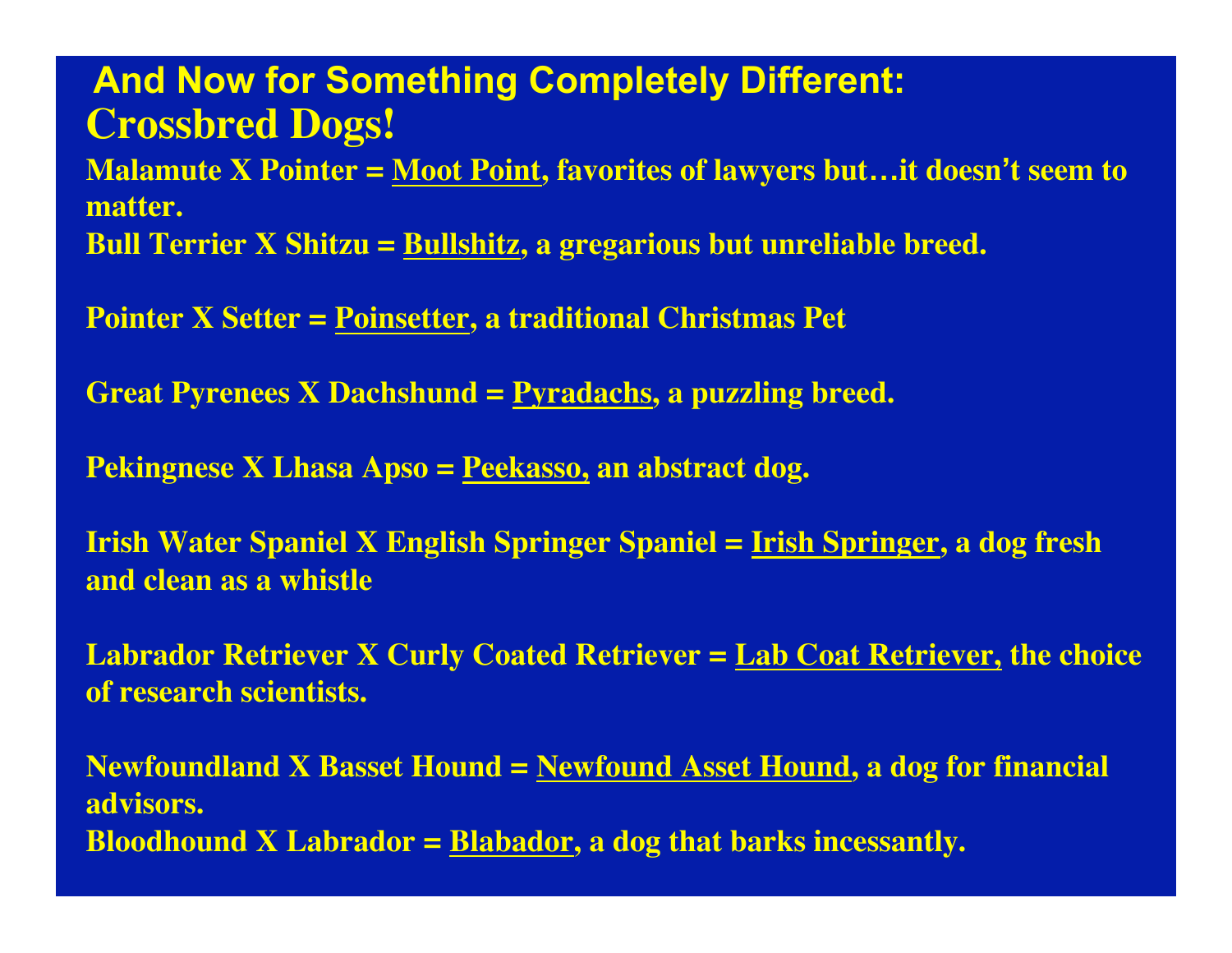**Crossbred Dogs! Malamute X Pointer = Moot Point, favorites of lawyers but…it doesn't seem to matter. Bull Terrier X Shitzu = Bullshitz, a gregarious but unreliable breed. And Now for Something Completely Different:**

**Pointer X Setter = Poinsetter, a traditional Christmas Pet**

**Great Pyrenees X Dachshund = Pyradachs, a puzzling breed.**

**Pekingnese X Lhasa Apso = Peekasso, an abstract dog.**

**Irish Water Spaniel X English Springer Spaniel = Irish Springer, a dog fresh and clean as a whistle**

**Labrador Retriever X Curly Coated Retriever = Lab Coat Retriever, the choice of research scientists.**

**Newfoundland X Basset Hound = Newfound Asset Hound, a dog for financial advisors. Bloodhound X Labrador = Blabador, a dog that barks incessantly.**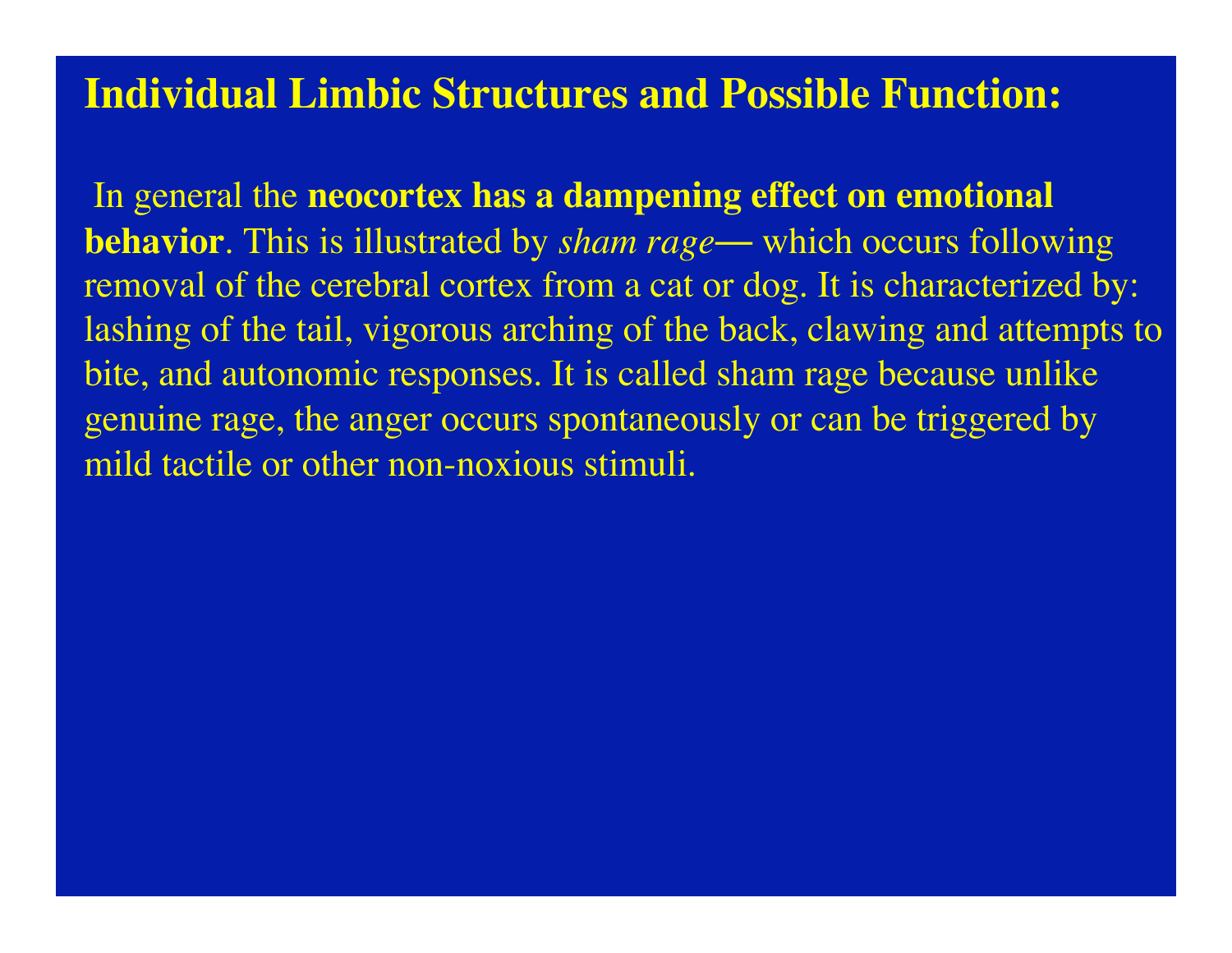### **Individual Limbic Structures and Possible Function:**

In general the **neocortex has a dampening effect on emotional behavior**. This is illustrated by *sham rage*— which occurs following removal of the cerebral cortex from a cat or dog. It is characterized by: lashing of the tail, vigorous arching of the back, clawing and attempts to bite, and autonomic responses. It is called sham rage because unlike genuine rage, the anger occurs spontaneously or can be triggered by mild tactile or other non-noxious stimuli.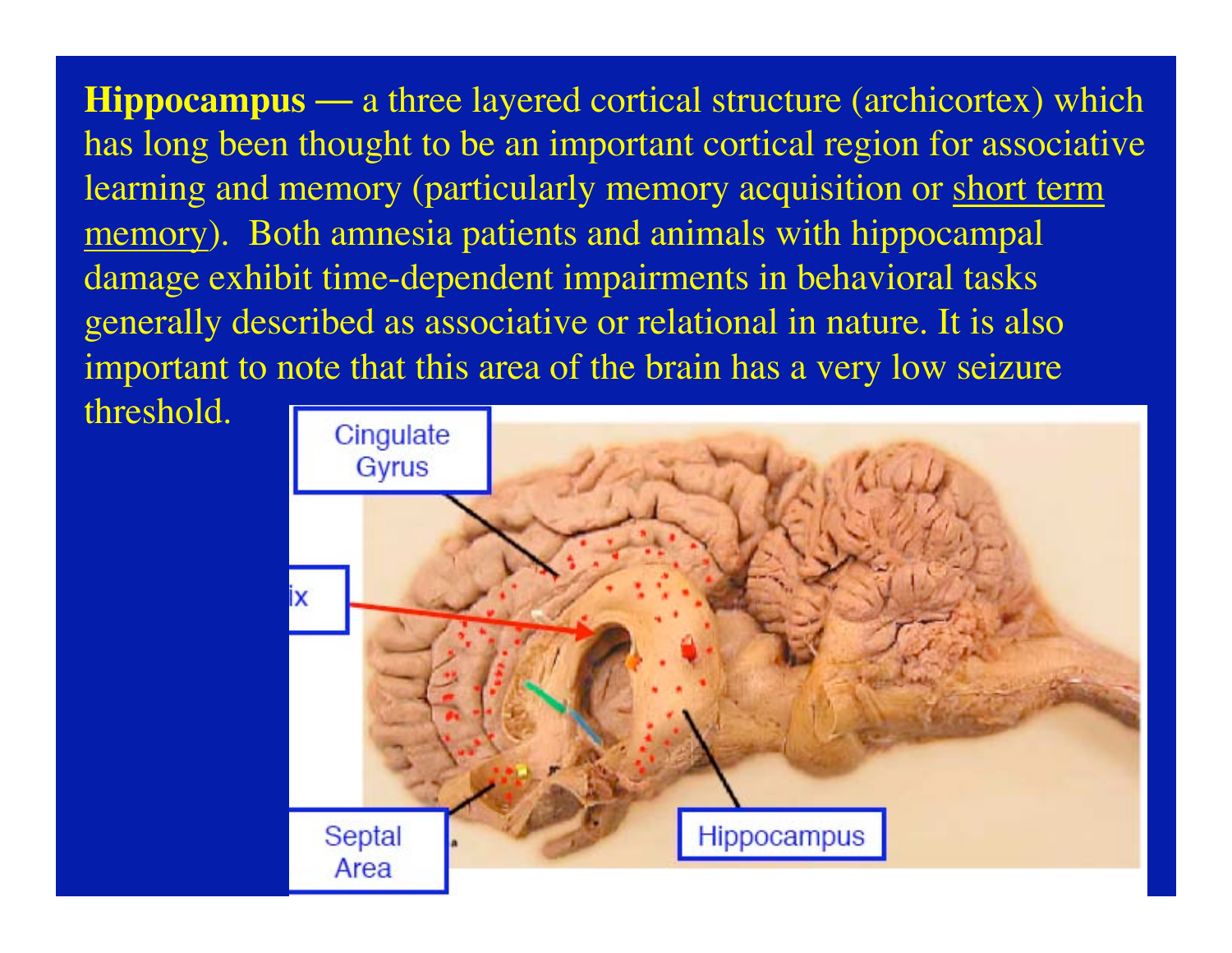**Hippocampus** — a three layered cortical structure (archicortex) which has long been thought to be an important cortical region for associative learning and memory (particularly memory acquisition or short term memory). Both amnesia patients and animals with hippocampal damage exhibit time-dependent impairments in behavioral tasks generally described as associative or relational in nature. It is also important to note that this area of the brain has a very low seizure

threshold.

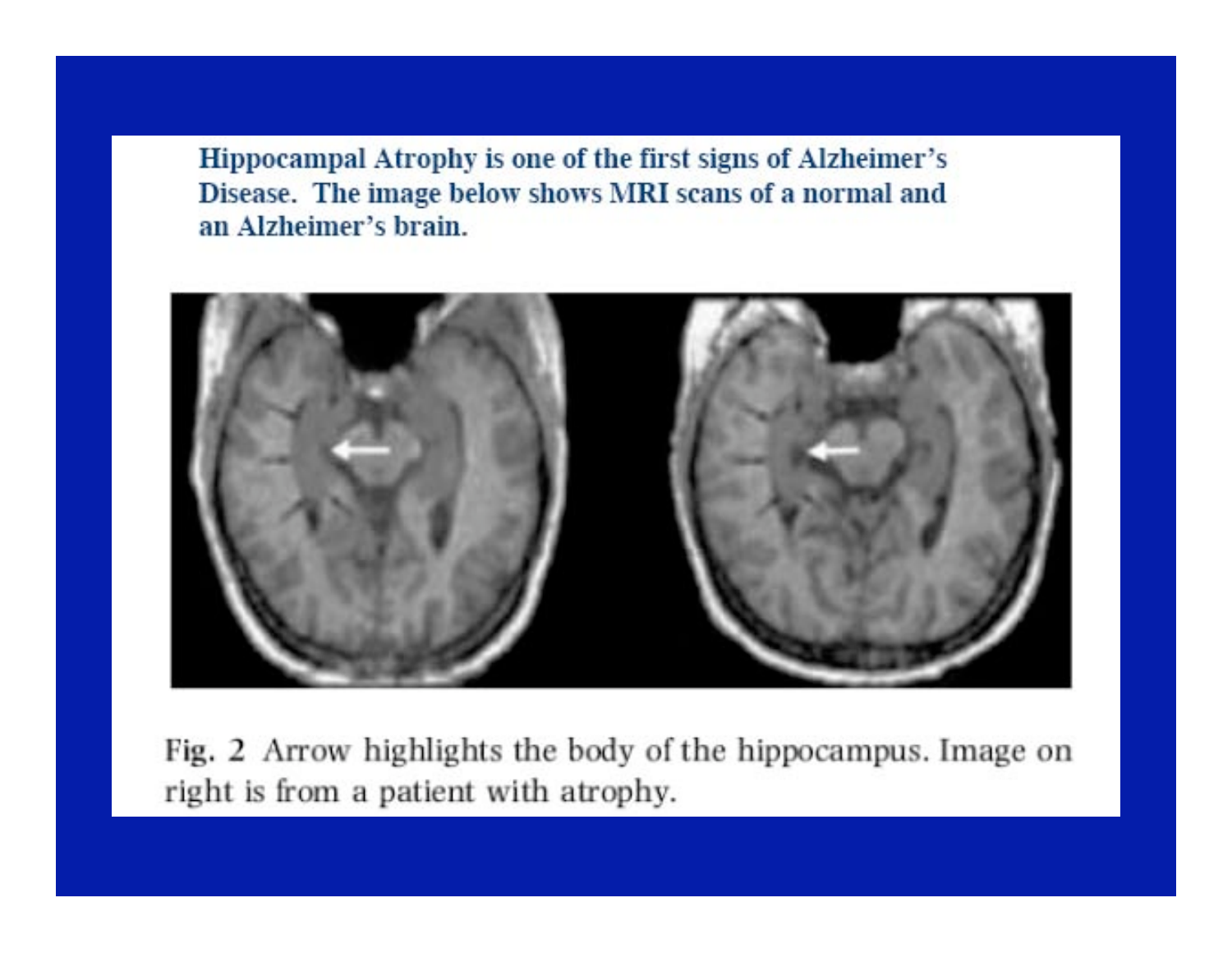Hippocampal Atrophy is one of the first signs of Alzheimer's Disease. The image below shows MRI scans of a normal and an Alzheimer's brain.



Fig. 2 Arrow highlights the body of the hippocampus. Image on right is from a patient with atrophy.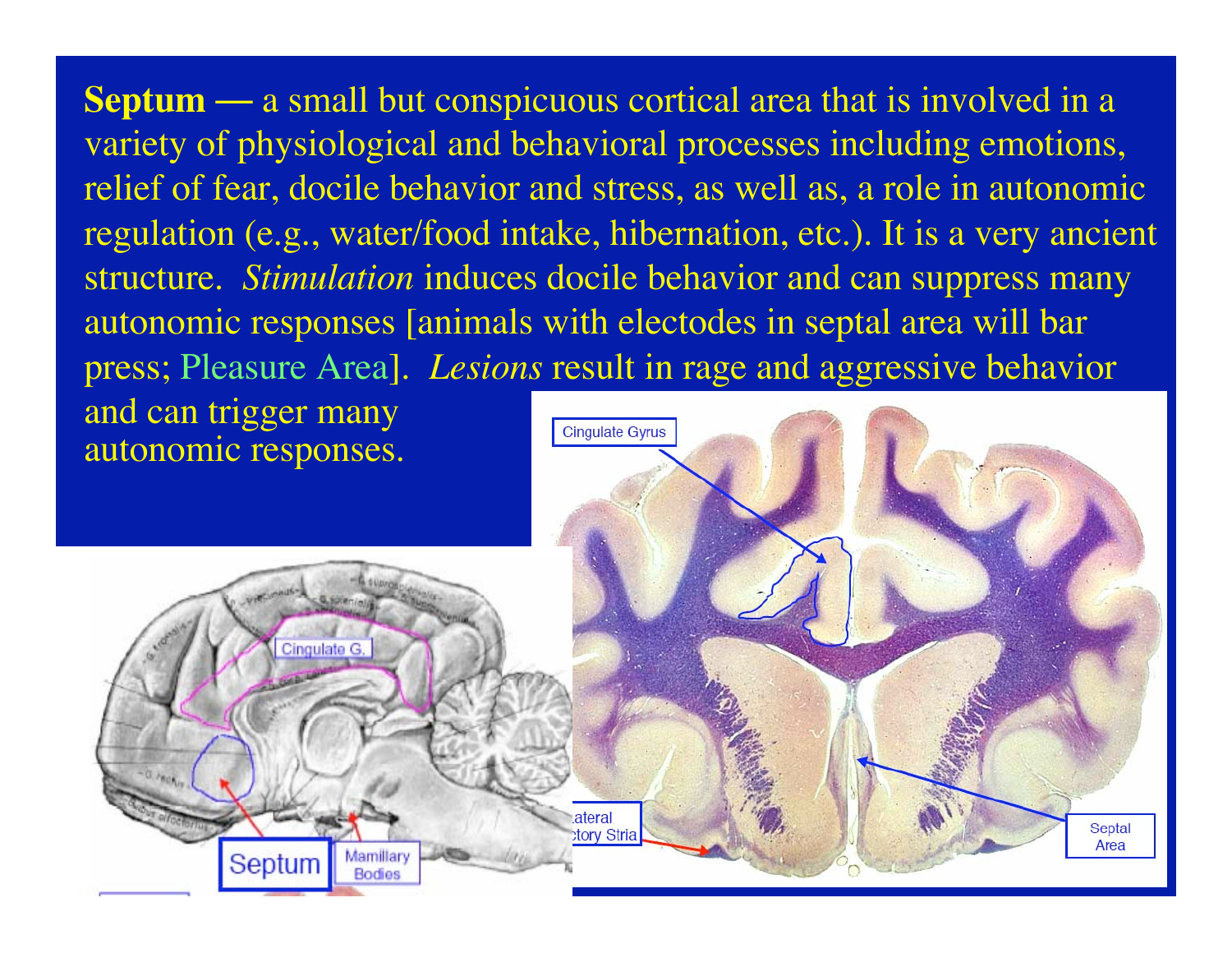**Septum** — a small but conspicuous cortical area that is involved in a variety of physiological and behavioral processes including emotions, relief of fear, docile behavior and stress, as well as, a role in autonomic regulation (e.g., water/food intake, hibernation, etc.). It is a very ancient structure. *Stimulation* induces docile behavior and can suppress many autonomic responses [animals with electodes in septal area will bar press; Pleasure Area]. *Lesions* result in rage and aggressive behavior

and can trigger many autonomic responses.

Cingulate G

Septum

Mamillary

**Bodies** 

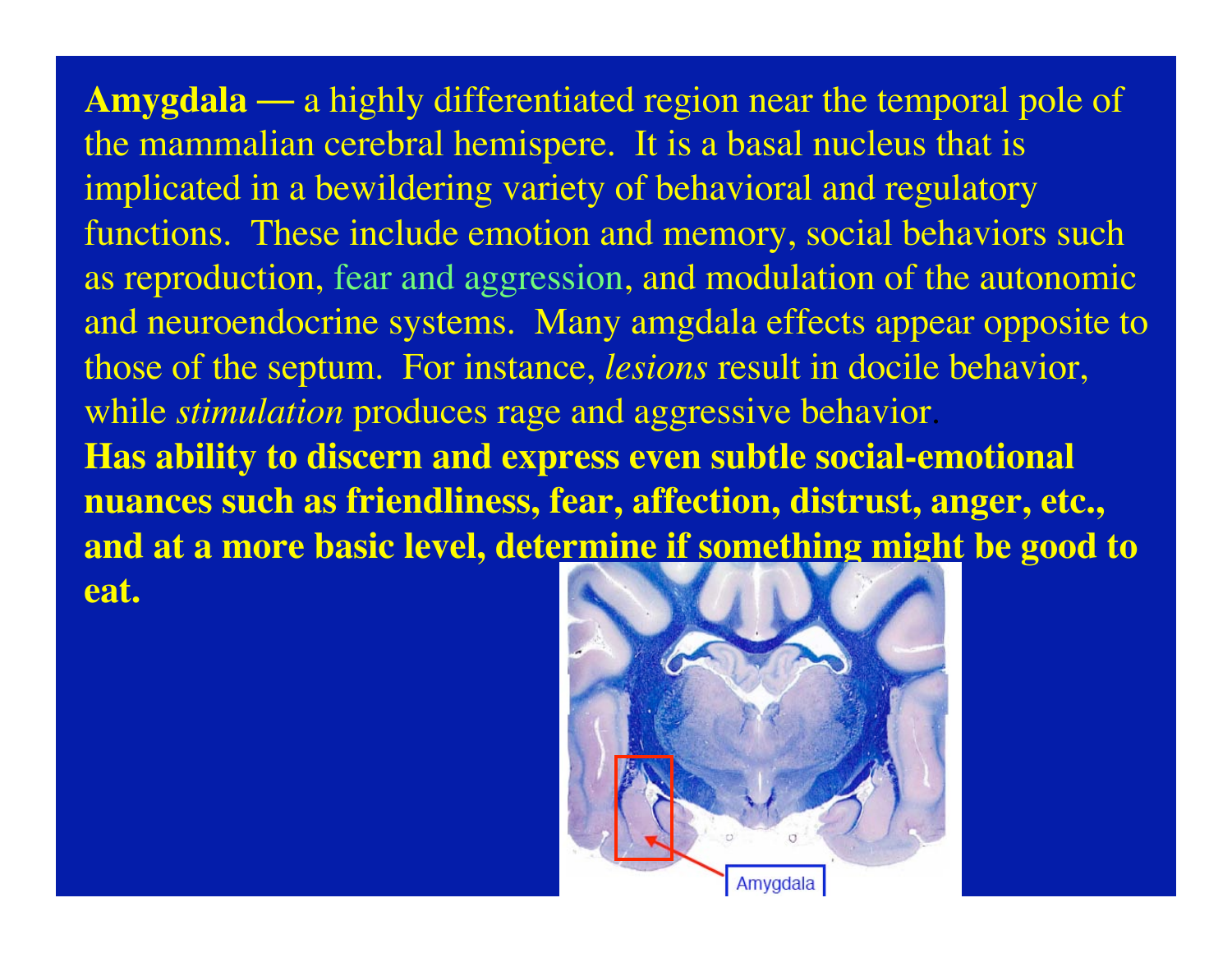**Amygdala** — a highly differentiated region near the temporal pole of the mammalian cerebral hemispere. It is a basal nucleus that is implicated in a bewildering variety of behavioral and regulatory functions. These include emotion and memory, social behaviors such as reproduction, fear and aggression, and modulation of the autonomic and neuroendocrine systems. Many amgdala effects appear opposite to those of the septum. For instance, *lesions* result in docile behavior, while *stimulation* produces rage and aggressive behavior. **Has ability to discern and express even subtle social-emotional nuances such as friendliness, fear, affection, distrust, anger, etc., and at a more basic level, determine if something might be good to eat.**

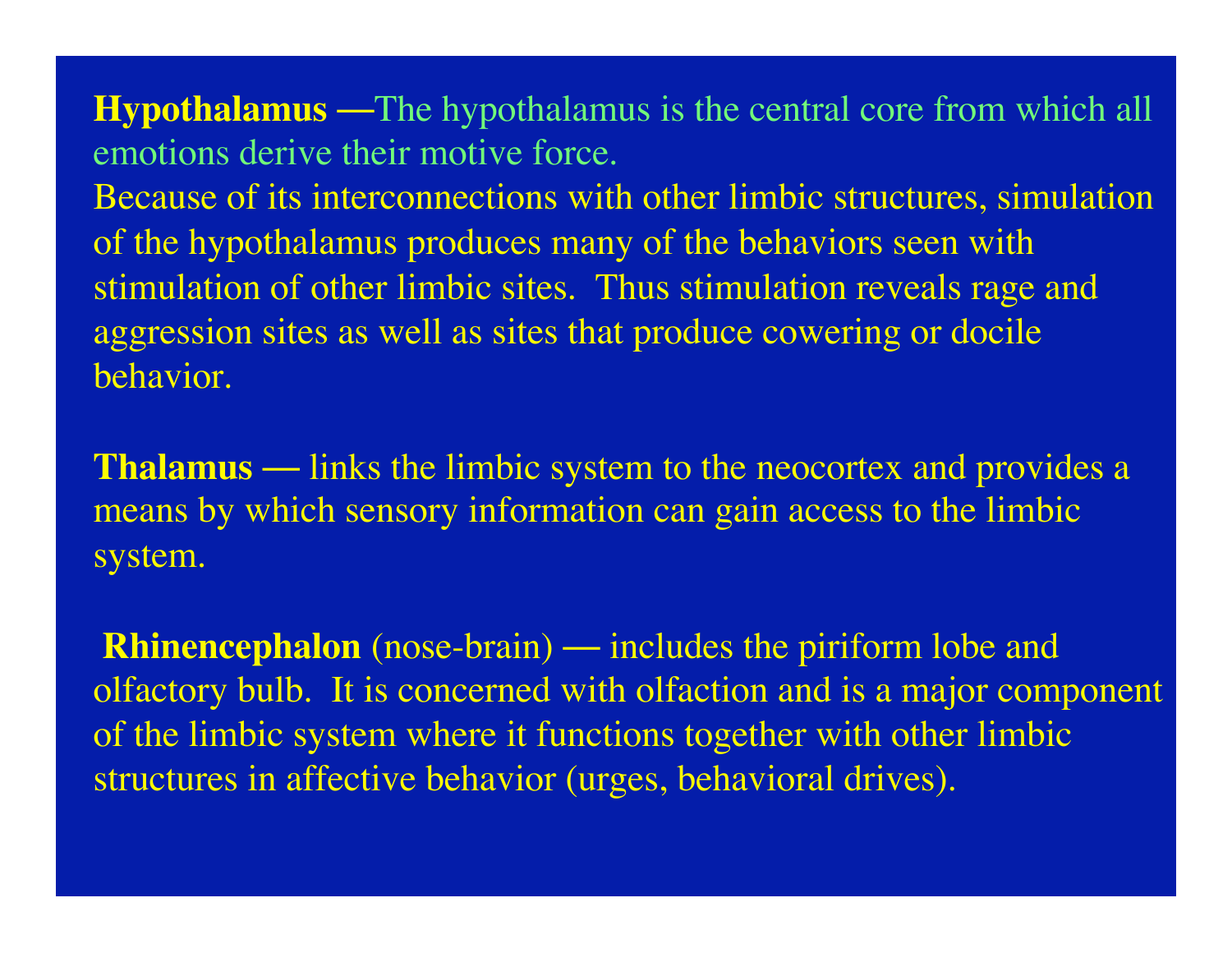**Hypothalamus** —The hypothalamus is the central core from which all emotions derive their motive force.

Because of its interconnections with other limbic structures, simulation of the hypothalamus produces many of the behaviors seen with stimulation of other limbic sites. Thus stimulation reveals rage and aggression sites as well as sites that produce cowering or docile behavior.

**Thalamus** — links the limbic system to the neocortex and provides a means by which sensory information can gain access to the limbic system.

**Rhinencephalon** (nose-brain) — includes the piriform lobe and olfactory bulb. It is concerned with olfaction and is a major component of the limbic system where it functions together with other limbic structures in affective behavior (urges, behavioral drives).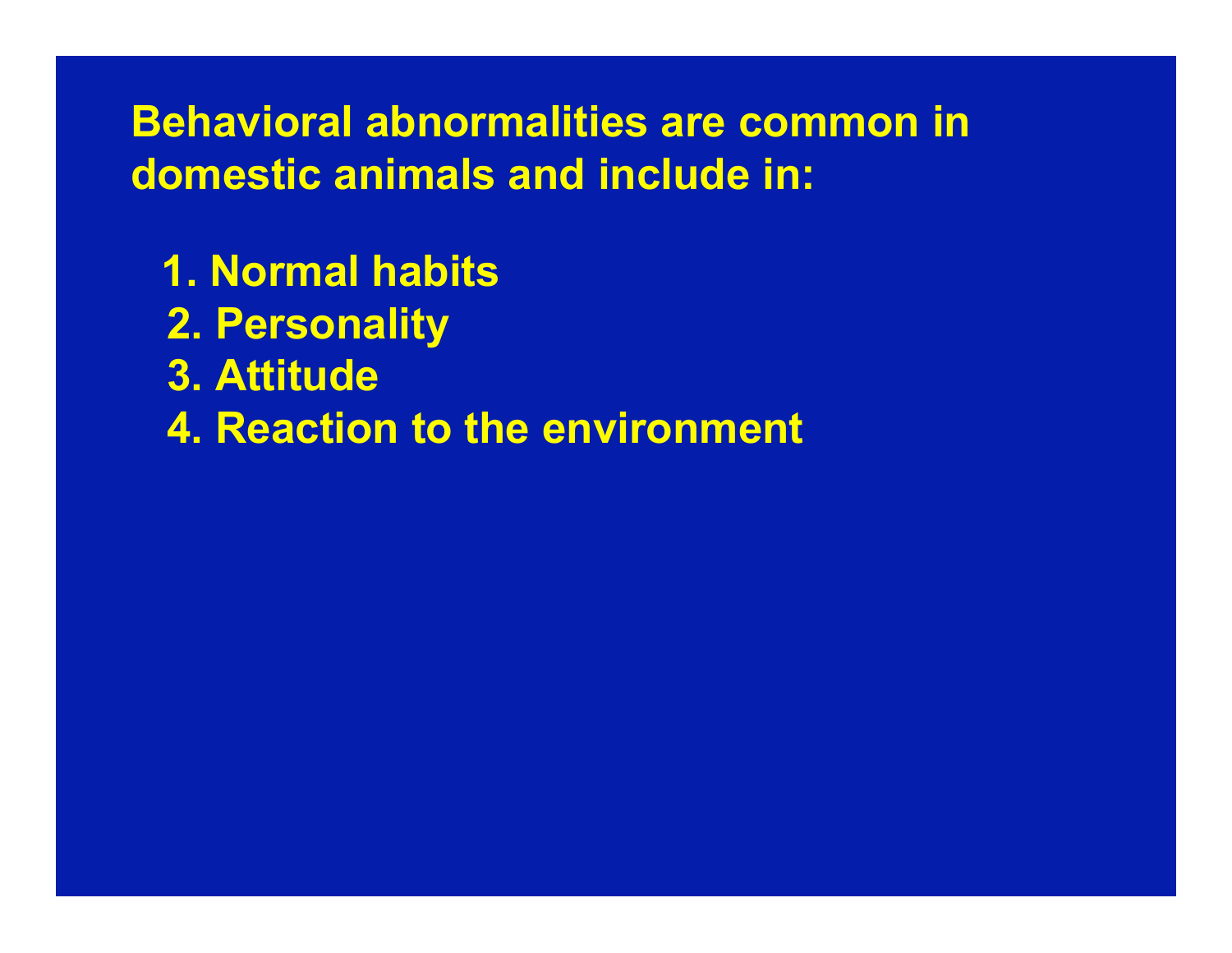# **Behavioral abnormalities are common in domestic animals and include in:**

- **1. Normal habits**
- **2. Personality**
- **3. Attitude**
- **4. Reaction to the environment**